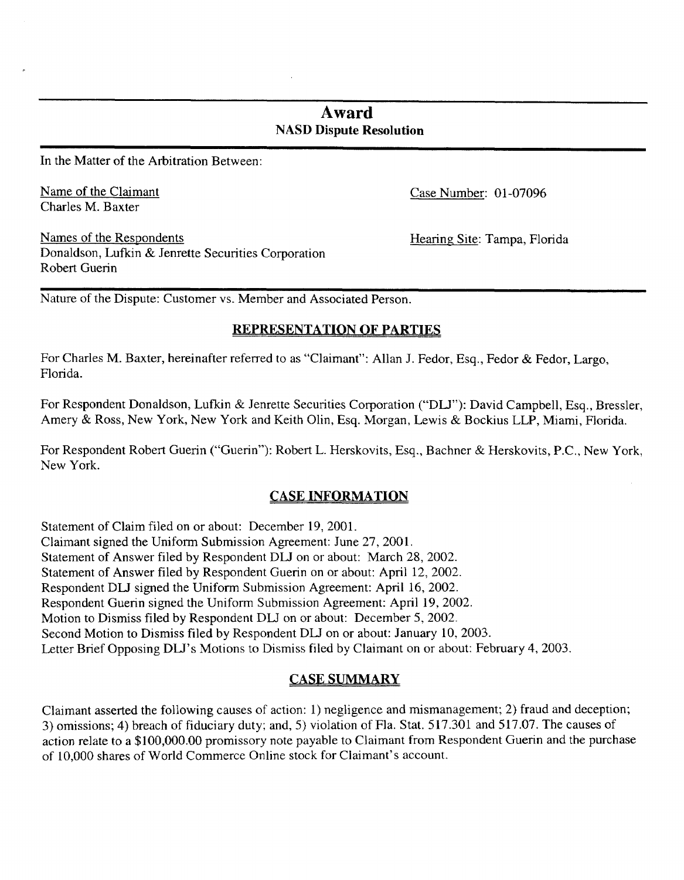# **Award NASD Dispute Resolution**

In the Matter of the Arbitration Between:

Name of the Claimant Charles M. Baxter

Names of the Respondents Hearing Site: Tampa, Florida Donaldson, Lufkin & Jenrette Securities Corporation Robert Guerin

Case Number: 01 -07096

Nature of the Dispute: Customer vs. Member and Associated Person.

## **REPRESENTATION OF PARTIES**

For Charles **M.** Baxter, hereinafter referred to as "Claimant": Allan J. Fedor, Esq., Fedor & Fedor, Largo, Florida.

For Respondent Donaldson, Lufkin & Jenrette Securities Corporation ("DLJ"): David Campbell, Esq., Bressler, Amery & Ross, New York, New York and Keith Olin, Esq. Morgan, Lewis & Bockius LLP, Miami, Florida.

For Respondent Robert Guerin ("Guerin"): Robert L. Herskovits, **Esq.,** Bachner & Herskovits, P.C., New York, New York.

## **CASE INFORMATION**

Statement of Claim filed on or about: December 19, 2001. Claimant signed the Uniform Submission Agreement: June 27,2001. Statement of Answer filed by Respondent DLJ on or about: March 28, 2002. Statement of Answer filed by Respondent Guerin on or about: April 12, 2002. Respondent DLJ signed the Uniform Submission Agreement: April 16, 2002. Respondent Guerin signed the Uniform Submission Agreement: April 19, 2002. Motion to Dismiss filed by Respondent DLJ on or about: December 5,2002. Second Motion to Dismiss filed by Respondent DLJ on or about: January 10,2003. Letter Brief Opposing DLJ's Motions to Dismiss filed by Claimant on or about: February 4, 2003.

## **CASE SUMMARY**

Claimant asserted the following causes of action: 1) negligence and mismanagement; 2) fraud and deception; 3) omissions; **4)** breach of fiduciary duty; and, *5)* violation of Fla. Stat. 517.301 and 517.07. The causes of action relate to a \$100,000.00 promissory note payable to Claimant from Respondent Guerin and the purchase of 10,000 shares of World Commerce Online stock for Claimant's account.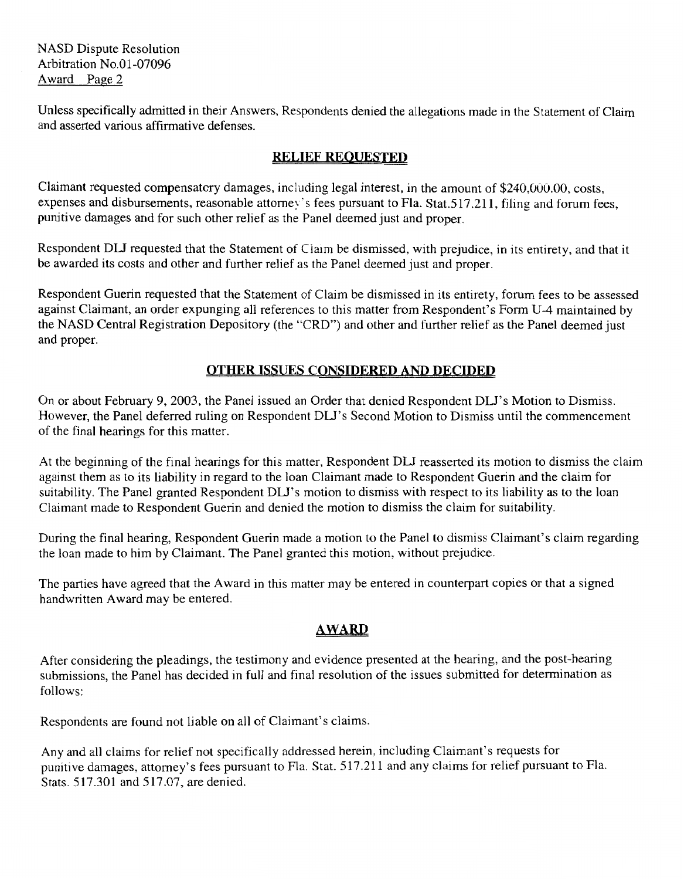Unless specifically admitted in their Answers, Respondents denied the allegations made in the Statement of Claim and asserted various affirmative defenses.

# **RELIEF REOUESTED**

Claimant requested compensatory damages, including legal interest, in the amount of \$240,000.00, costs, expenses and disbursements, reasonable attorney's fees pursuant to Fla. Stat.517.211, filing and forum fees, punitive damages and for such other relief as the Panel deemed just and proper.

Respondent DLJ requested that the Statement of Claim be dismissed, with prejudice, in its entirety, and that it be awarded its costs and other and further relief as the Panel deemed just and proper.

Respondent Guerin requested that the Statement of Claim be dismissed in its entirety, forum fees to be assessed against Claimant, an order expunging all references to this matter from Respondent's Form **U-4** maintained by the NASD Central Registration Depository (the "CRD") and other and further relief as the Panel deemed just and proper.

# **OTHER ISSUES CONSIDERED AND DECIDED**

On or about February 9,2003, the Panel issued an Order that denied Respondent DU's Motion to Dismiss. However, the Panel deferred ruling on Respondent DLJ's Second Motion to Dismiss until the commencement of the final hearings for this matter.

**At** the beginning of the final hearings for this matter, Respondent DW reasserted its motion to dismiss the claim against them as to its liability in regard to the loan Claimant made to Respondent Guerin and the claim for suitability. The Panel granted Respondent DLJ's motion to dismiss with respect to its liability as to the loan Claimant made to Respondent Guerin and denied the motion to dismiss the claim for suitability.

During the final hearing, Respondent Guerin made a motion to the Panel to dismiss Claimant's claim regarding the loan made to him by Claimant. The Panel granted this motion, without prejudice.

The parties have agreed that the Award in this matter may be entered in counterpart copies or that a signed handwritten Award may be entered.

# *AWARD*

After considering the pleadings, the testimony and evidence presented at the hearing, and the post-hearing submissions, the Panel has decided in full and final resolution of the issues submitted for determination as follows:

Respondents are found not liable on all of Claimant's claims.

Any and all claims for relief not specifically addressed herein, including Claimant's requests for punitive damages, attorney's fees pursuant to Fla. Stat. 517.21 1 and any claims for relief pursuant to Fla. Stats. 517.301 and 517.07, are denied.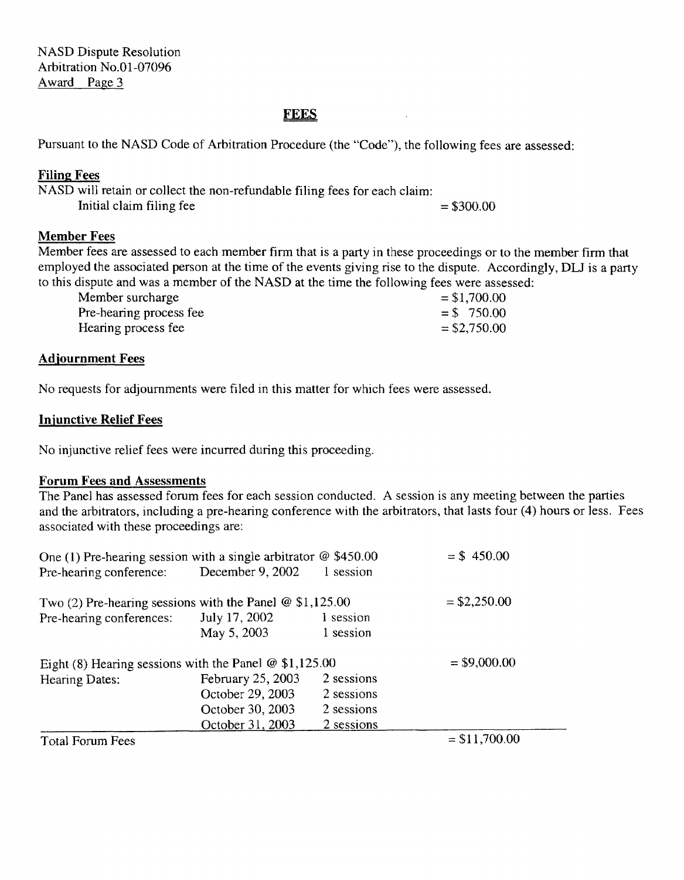### **FEES**

Pursuant to the **NASD** Code of Arbitration Procedure (the "Code"), the following fees are assessed:

### **Filing; Fees**

NASD will retain or collect the non-refundable filing fees for each claim: Initial claim filing fee  $= $300.00$ 

## **Member Fees**

Member fees are assessed to each member firm that is a party in these proceedings or to the member firm that employed the associated person at the time of the events giving rise to the dispute. Accordingly, DLJ is a party to this dispute and was a member of the **NASD** at the time the following fees were assessed:

| Member surcharge        | $= $1,700.00$  |
|-------------------------|----------------|
| Pre-hearing process fee | $= $750.00$    |
| Hearing process fee     | $=$ \$2,750.00 |

#### **Adjournment Fees**

No requests for adjournments were filed in this matter for which fees were assessed.

## **Injunctive Relief Fees**

No injunctive relief fees were incurred during this proceeding.

#### **Forum Fees and Assessments**

The Panel has assessed forum fees for each session conducted. **A** session is any meeting between the parties and the arbitrators, including a pre-hearing conference with the arbitrators, that lasts four **(4)** hours or less. Fees associated with these proceedings are:

| One (1) Pre-hearing session with a single arbitrator $\omega$ \$450.00 |                   |            | $= $450.00$    |
|------------------------------------------------------------------------|-------------------|------------|----------------|
| Pre-hearing conference:                                                | December 9, 2002  | 1 session  |                |
| Two $(2)$ Pre-hearing sessions with the Panel @ \$1,125.00             |                   |            | $=$ \$2,250.00 |
| Pre-hearing conferences:                                               | July 17, 2002     | 1 session  |                |
|                                                                        | May 5, 2003       | 1 session  |                |
| Eight (8) Hearing sessions with the Panel $@$ \$1,125.00               |                   |            | $= $9,000.00$  |
| Hearing Dates:                                                         | February 25, 2003 | 2 sessions |                |
|                                                                        | October 29, 2003  | 2 sessions |                |
|                                                                        | October 30, 2003  | 2 sessions |                |
|                                                                        | October 31, 2003  | 2 sessions |                |
| Total Forum Fees                                                       |                   |            | $= $11,700.00$ |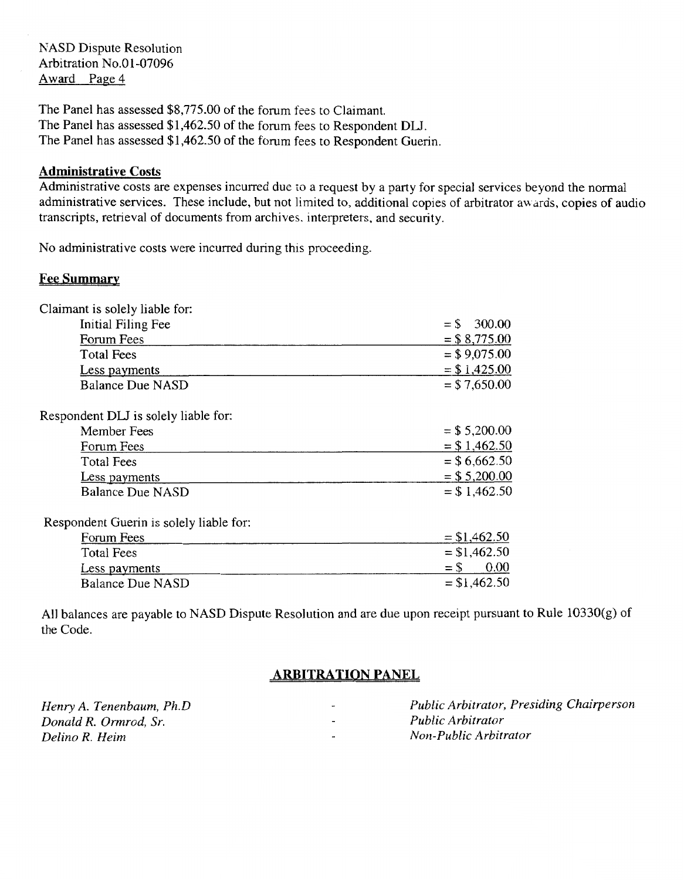The Panel has assessed \$8,775.00 of the forum fees to Claimant. The Panel has assessed \$1,462.50 of the forum fees to Respondent **DM.**  The Panel has assessed \$1,462.50 of the forum fees to Respondent Guerin.

#### **Administrative Costs**

Administrative costs are expenses incurred due to a request by a party for special services beyond the normal administrative services. These include, but not limited to, additional copies of arbitrator awards, copies of audio transcripts, retrieval of documents from archives. interpreters, and security.

No administrative costs were incurred during this proceeding.

#### **Fee Summary**

| Claimant is solely liable for:          |                  |
|-----------------------------------------|------------------|
| Initial Filing Fee                      | 300.00<br>$=$ \$ |
| Forum Fees                              | $= $8,775.00$    |
| <b>Total Fees</b>                       | $= $9,075.00$    |
| Less payments                           | $= $1,425.00$    |
| Balance Due NASD                        | $= $7,650.00$    |
| Respondent DLJ is solely liable for:    |                  |
| Member Fees                             | $= $5,200.00$    |
| Forum Fees                              | $= $1,462.50$    |
| <b>Total Fees</b>                       | $=$ \$6,662.50   |
| Less payments                           | $= $5,200.00$    |
| <b>Balance Due NASD</b>                 | $= $1,462.50$    |
| Respondent Guerin is solely liable for: |                  |
| Forum Fees                              | $= $1,462.50$    |
| <b>Total Fees</b>                       | $= $1,462.50$    |
| Less payments                           | 0.00<br>$=$ \$   |
| <b>Balance Due NASD</b>                 | $= $1,462.50$    |
|                                         |                  |

All balances are payable to NASD Dispute Resolution and are due upon receipt pursuant to Rule 10330(g) of the Code.

#### **ARBITRATION PANEL**

| Henry A. Tenenbaum, Ph.D. | $\overline{\phantom{a}}$ | Public Arbitrator, Presiding Chairperson |
|---------------------------|--------------------------|------------------------------------------|
| Donald R. Ormrod, Sr.     | $\overline{\phantom{0}}$ | <i>Public Arbitrator</i>                 |
| Delino R. Heim            | $\overline{\phantom{a}}$ | Non-Public Arbitrator                    |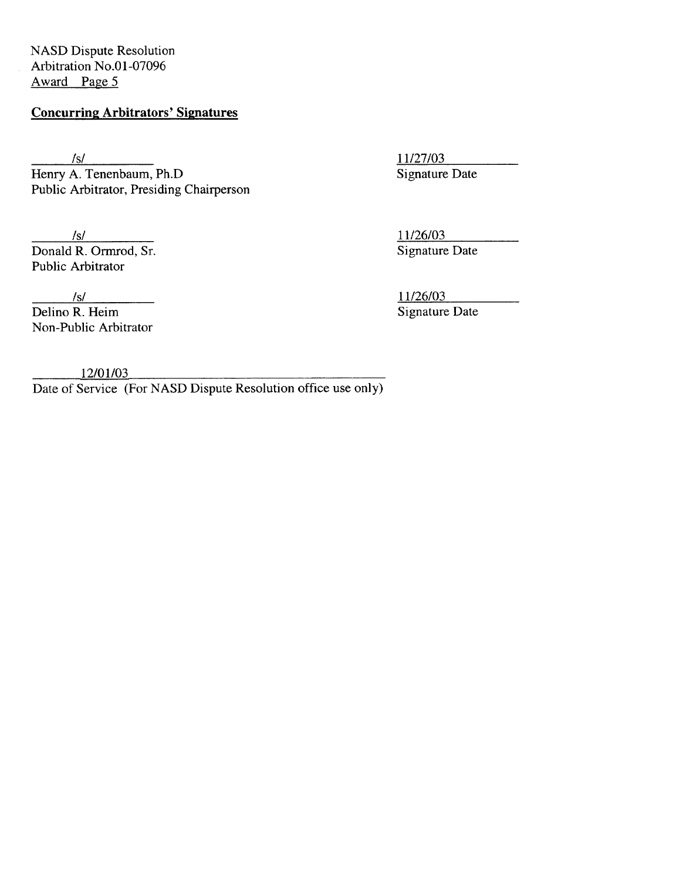# **Concurring Arbitrators' Signatures**

*/SI*  Henry A. Tenenbaum, Ph.D Public Arbitrator, Presiding Chairperson

*IS/*  Donald R. Ormrod, Sr. Public Arbitrator

 $\frac{|s|}{\text{Delino } R. \text{ Heim}}$ Non-Public Arbitrator

11/27/03 Signature Date

1 1/26/03 Signature Date

11/26/03 Signature Date

 $12/01/03$ 

Date of Service (For NASD Dispute Resolution office use only)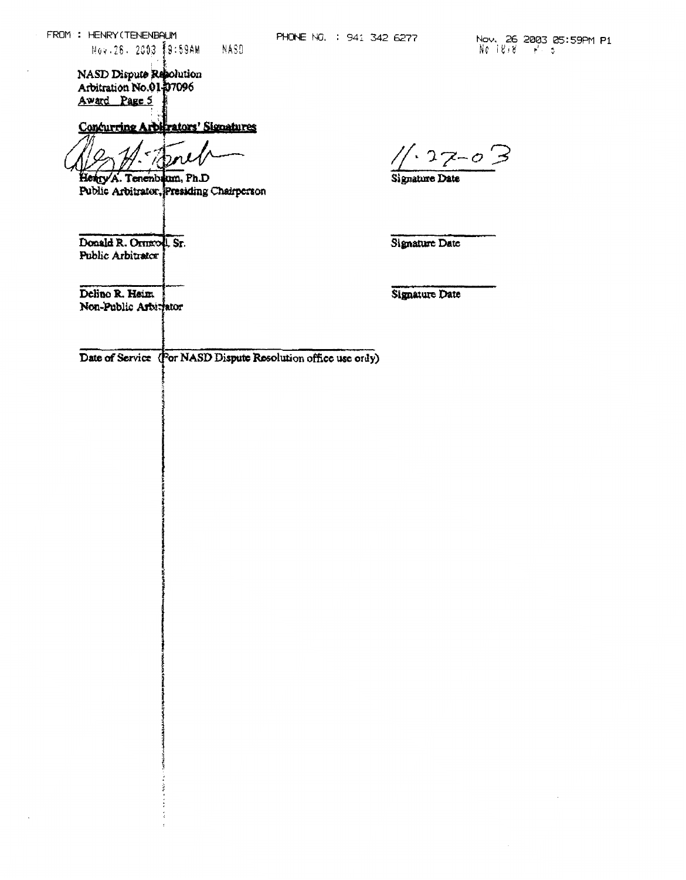**Concurring Arbitrators' Signatures** 

Henry A. Tenenbrum, Ph.D. Public Arbitrator, Presiding Chairperson

Donald R. Ormrod, Sr. Public Arbitrator

 $27 - 03$ 

Signature Date

Signature Date

Delino R. Heim Non-Public Articrator

**Signature Date** 

Date of Service (For NASD Dispute Resolution office use ordy)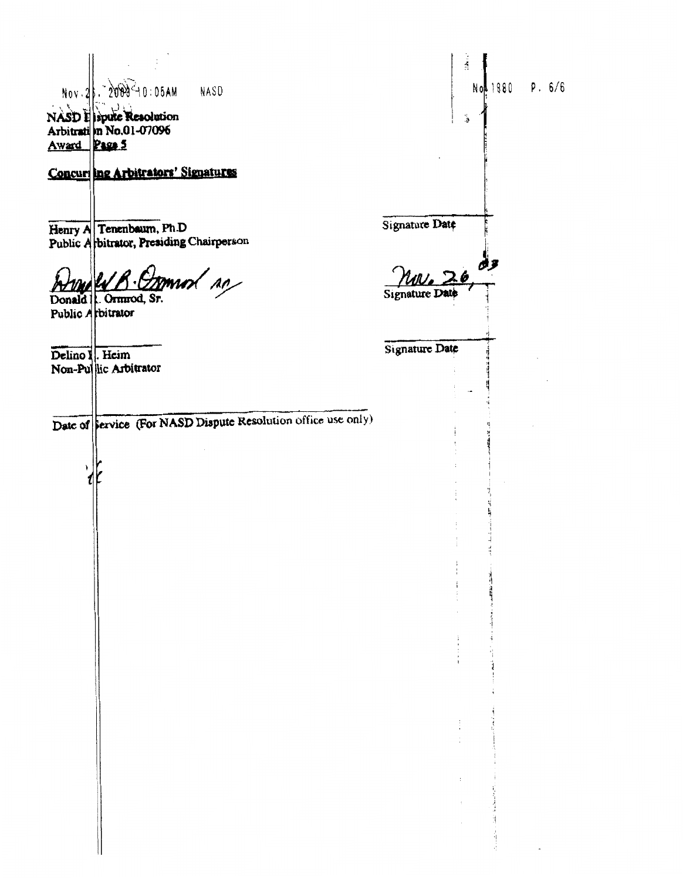|                                                                                    |                                | Á                             |          |                 |
|------------------------------------------------------------------------------------|--------------------------------|-------------------------------|----------|-----------------|
| Nov. 2. 2009-10:05AM<br>NASD<br>NASD I spute Resolution<br>Arbitrati n No.01-07096 |                                | <br>د                         |          | Not 1880 P. 6/6 |
| Award Page 5<br>Concur ing Arbitrators' Signatures                                 |                                |                               |          |                 |
|                                                                                    |                                |                               |          |                 |
| Henry A Tenenbaum, Ph.D<br>Public A bitrator, Presiding Chairperson                | Signature Date                 |                               |          |                 |
| <u>R. Ommol so</u><br>Donald   Ormrod, Sr.<br>Public Arbitrator                    | Mv.26<br><b>Signature Date</b> |                               |          |                 |
| Delino I. Heim<br>Non-Pullic Arbitrator                                            | Signature Date                 |                               |          |                 |
| Date of Service (For NASD Dispute Resolution office use only)                      |                                |                               |          |                 |
|                                                                                    |                                |                               |          |                 |
|                                                                                    |                                |                               |          |                 |
|                                                                                    |                                | ÷                             | 清洁       |                 |
|                                                                                    |                                |                               | 计算符号     |                 |
|                                                                                    |                                | ÷                             | 手后片<br>Ï |                 |
|                                                                                    |                                |                               |          |                 |
|                                                                                    |                                |                               |          |                 |
|                                                                                    |                                | $\ddot{\phantom{a}}$<br>$\pm$ | ちょうきょ    |                 |
|                                                                                    |                                |                               |          |                 |